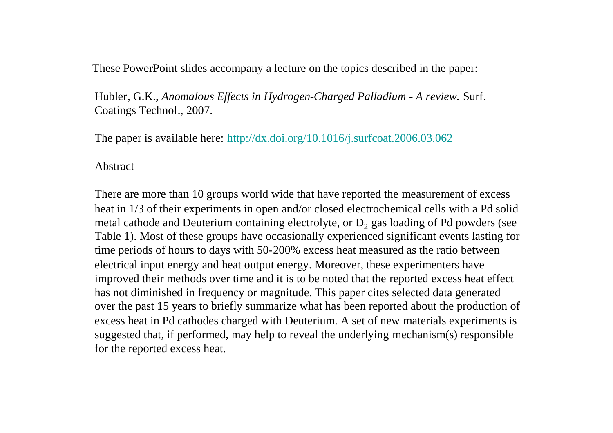These PowerPoint slides accompany a lecture on the topics described in the paper:

Hubler, G.K., *Anomalous Effects in Hydrogen-Charged Palladium - A review.* Surf. Coatings Technol., 2007.

The paper is available here: http://dx.doi.org/10.1016/j.surfcoat.2006.03.062

#### Abstract

There are more than 10 groups world wide that have reported the measurement of excess heat in 1/3 of their experiments in open and/or closed electrochemical cells with a Pd solid metal cathode and Deuterium containing electrolyte, or  $D_2$  gas loading of Pd powders (see Table 1). Most of these groups have occasionally experienced significant events lasting for time periods of hours to days with 50-200% excess heat measured as the ratio between electrical input energy and heat output energy. Moreover, these experimenters have improved their methods over time and it is to be noted that the reported excess heat effect has not diminished in frequency or magnitude. This paper cites selected data generated over the past 15 years to briefly summarize what has been reported about the production of excess heat in Pd cathodes charged with Deuterium. A set of new materials experiments is suggested that, if performed, may help to reveal the underlying mechanism(s) responsible for the reported excess heat.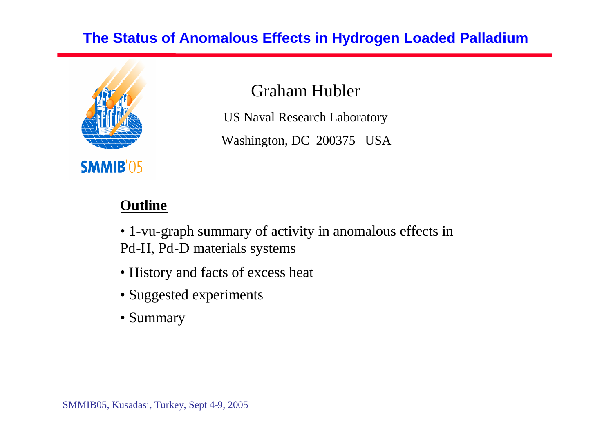### **The Status of Anomalous Effects in Hydrogen Loaded Palladium**



Graham Hubler

US Naval Research Laboratory

Washington, DC 200375 USA

### **Outline**

• 1-vu-graph summary of activity in anomalous effects in Pd-H, Pd-D materials systems

- History and facts of excess heat
- Suggested experiments
- Summary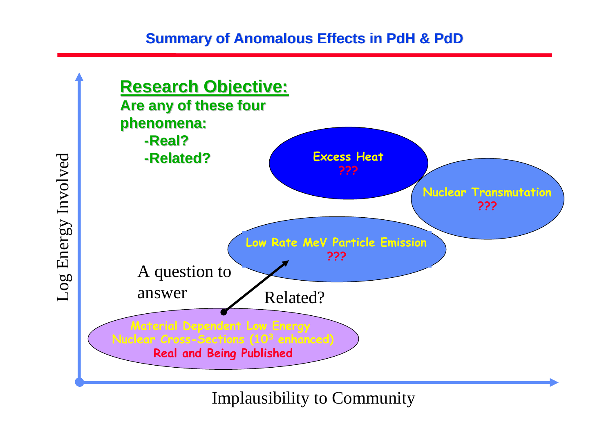#### **Summary of Anomalous Effects in PdH & PdD**



Implausibility to Community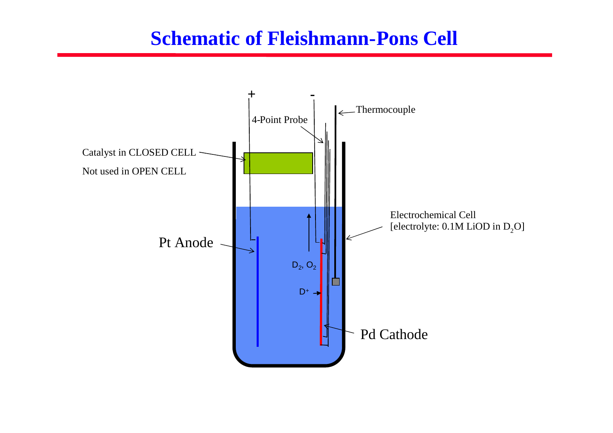# **Schematic of Fleishmann-Pons Cell**

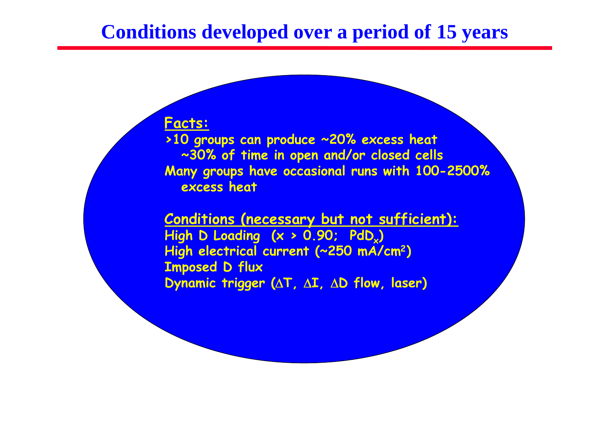## **Conditions developed over a period of 15 years**

#### **Facts:**

**>10 groups can produce ~20% excess heat ~30% of time in open and/or closed cells Many groups have occasional runs with 100-2500% excess heat**

**Conditions (necessary but not sufficient): High D Loading (x > 0.90; PdD<sup>x</sup> ) High electrical current (~250 mA/cm<sup>2</sup>) Imposed D flux Dynamic trigger (** $\Delta T$ **,**  $\Delta I$ **,**  $\Delta D$  **flow, laser)**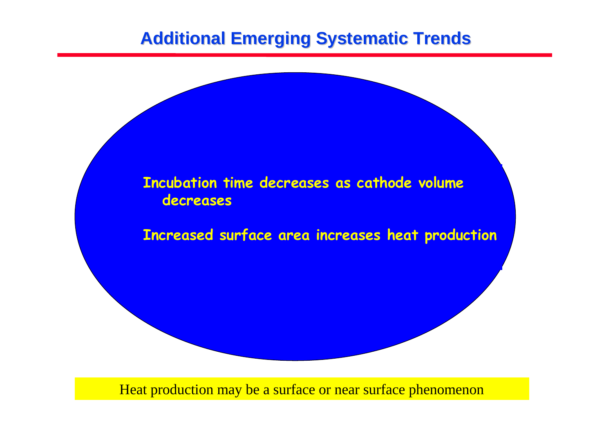## **Additional Emerging Systematic Trends**



Heat production may be a surface or near surface phenomenon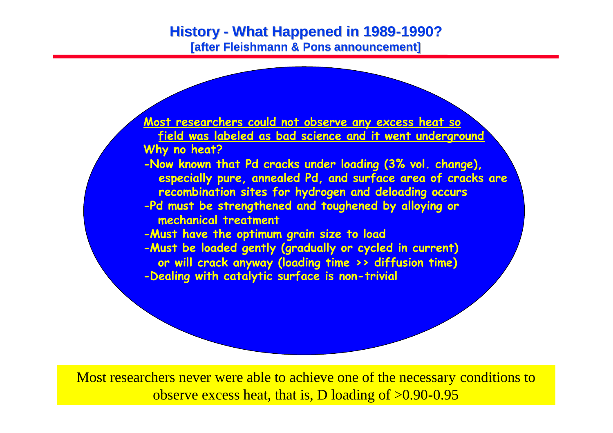#### **History - What Happened in 1989-1990? [after Fleishmann & Pons announcement]**



Most researchers never were able to achieve one of the necessary conditions to observe excess heat, that is, D loading of >0.90-0.95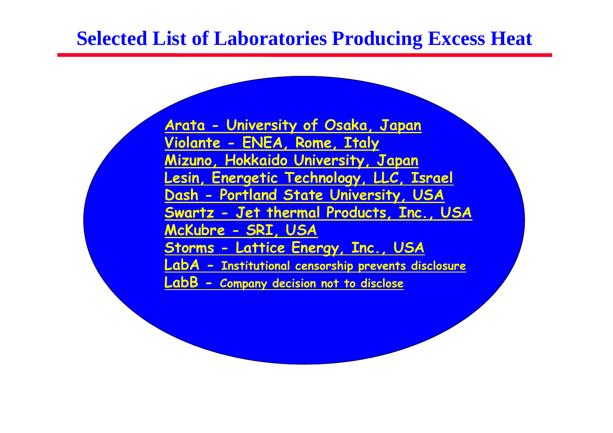# **Selected List of Laboratories Producing Excess Heat**

**Arata - University of Osaka, Japan Violante - ENEA, Rome, Italy Mizuno, Hokkaido University, Japan Lesin, Energetic Technology, LLC, Israel Dash - Portland State University, USA Swartz - Jet thermal Products, Inc., USA McKubre - SRI, USA Storms - Lattice Energy, Inc., USA LabA - Institutional censorship prevents disclosure LabB - Company decision not to disclose**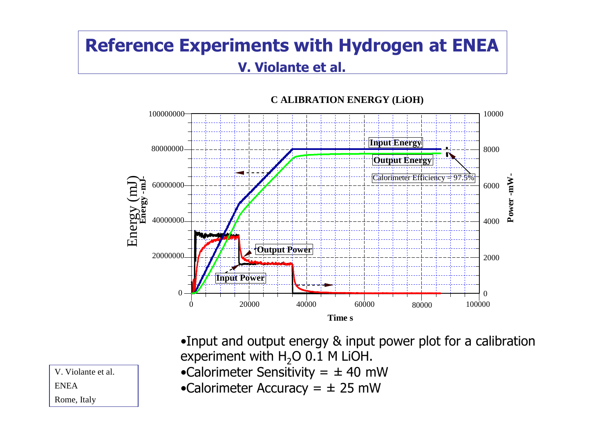## **Reference Experiments with Hydrogen at ENEA V. Violante et al.**



•Input and output energy & input power plot for a calibration experiment with  $H_2O$  0.1 M LiOH.

- •Calorimeter Sensitivity =  $\pm$  40 mW
- •Calorimeter Accuracy =  $\pm$  25 mW

V. Violante et al. ENEA

Rome, Italy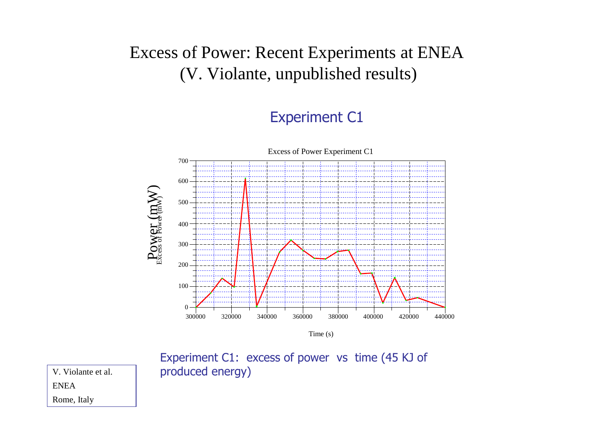## Excess of Power: Recent Experiments at ENEA (V. Violante, unpublished results)

#### Experiment C1



Time (s)

Experiment C1: excess of power vs time (45 KJ of produced energy)

V. Violante et al.

Rome, Italy

ENEA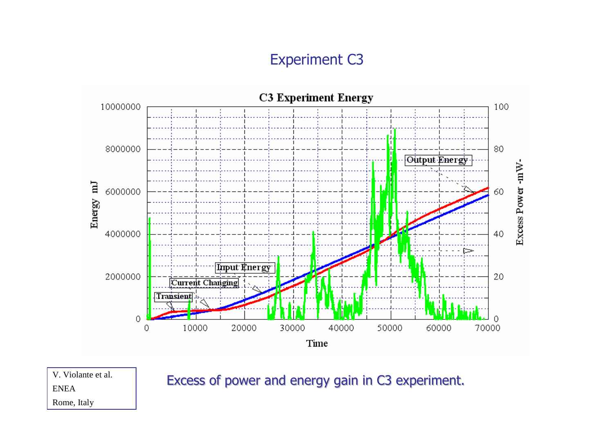### Experiment C3



V. Violante et al. **Excess of power and energy gain in C3 experiment.** 

ENEA

Rome, Italy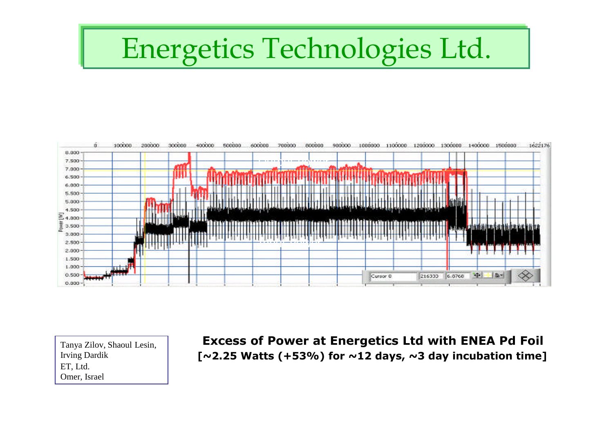# Energetics Technologies Ltd.



Tanya Zilov, Shaoul Lesin, Irving Dardik ET, Ltd. Omer, Israel

**Excess of Power at Energetics Ltd with ENEA Pd Foil [~2.25 Watts (+53%) for ~12 days, ~3 day incubation time]**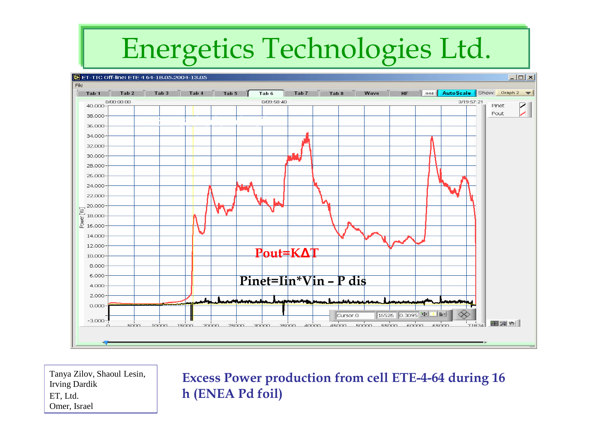# Energetics Technologies Ltd.



Tanya Zilov, Shaoul Lesin, Irving Dardik ET, Ltd. Omer, Israel

**Excess Power production from cell ETE-4-64 during 16 h (ENEA Pd foil)**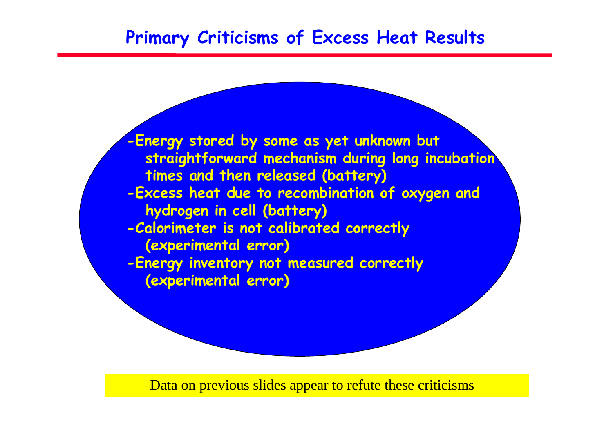## **Primary Criticisms of Excess Heat Results**

**-Energy stored by some as yet unknown but straightforward mechanism during long incubation times and then released (battery) -Excess heat due to recombination of oxygen and hydrogen in cell (battery) -Calorimeter is not calibrated correctly (experimental error) -Energy inventory not measured correctly (experimental error)**

Data on previous slides appear to refute these criticisms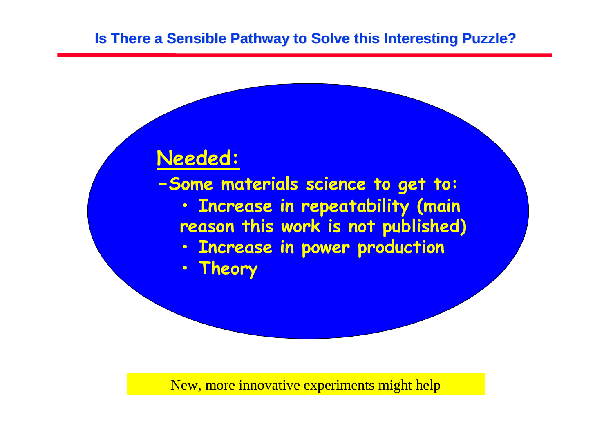# **Needed:**

**-Some materials science to get to:**

- **• Increase in repeatability (main reason this work is not published)**
- **• Increase in power production**
- **• Theory**

New, more innovative experiments might help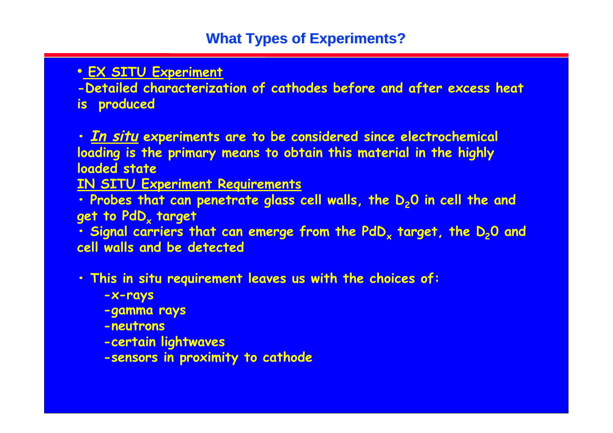#### • **EX SITU Experiment**

**-Detailed characterization of cathodes before and after excess heat**

**is produced**

**• In situ experiments are to be considered since electrochemical loading is the primary means to obtain this material in the highly loaded state**

**IN SITU Experiment Requirements**

**• Probes that can penetrate glass cell walls, the D20 in cell the and get to PdD<sup>x</sup> target**

**• Signal carriers that can emerge from the PdD<sup>x</sup> target, the D20 and cell walls and be detected**

**• This in situ requirement leaves us with the choices of:**

**-x-rays**

**-gamma rays**

**-neutrons**

**-certain lightwaves**

**-sensors in proximity to cathode**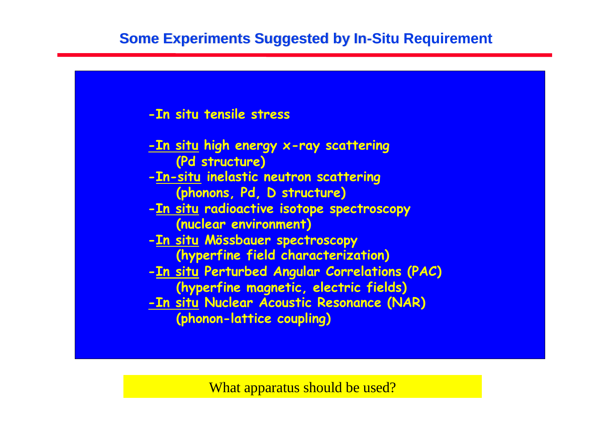### **Some Experiments Suggested by In-Situ Requirement**





What apparatus should be used?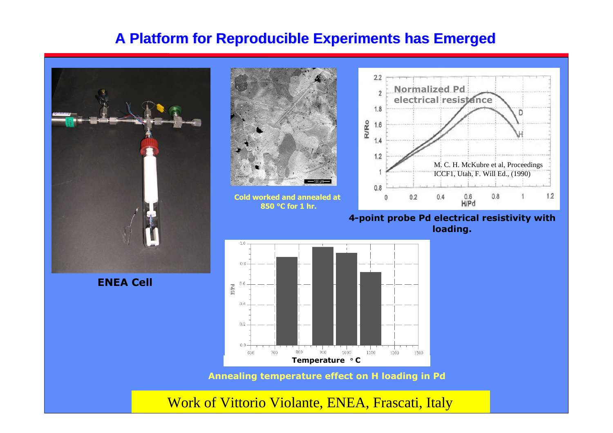#### **A Platform for Reproducible Experiments has Emerged**

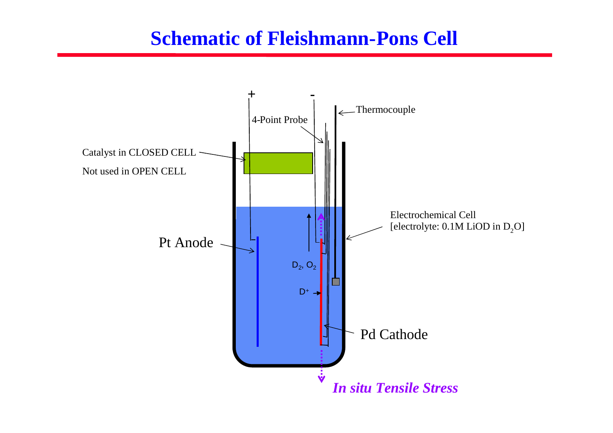# **Schematic of Fleishmann-Pons Cell**

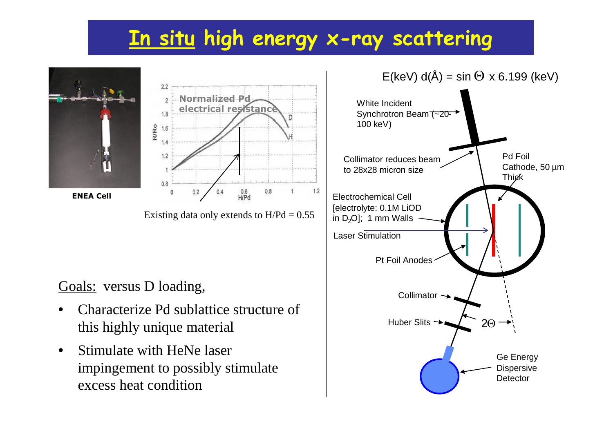# **In situ high energy x-ray scattering**





Goals: versus D loading,

- Characterize Pd sublattice structure of this highly unique material
- Stimulate with HeNe laser impingement to possibly stimulate excess heat condition

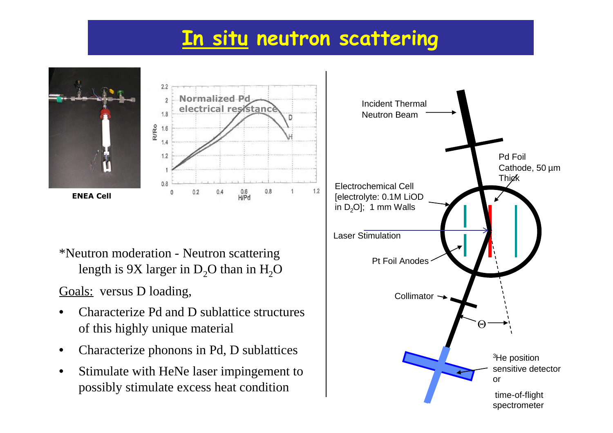# **In situ neutron scattering**





\*Neutron moderation - Neutron scattering length is 9X larger in  $D_2O$  than in  $H_2O$ 

Goals: versus D loading,

- Characterize Pd and D sublattice structures of this highly unique material
- Characterize phonons in Pd, D sublattices
- Stimulate with HeNe laser impingement to possibly stimulate excess heat condition

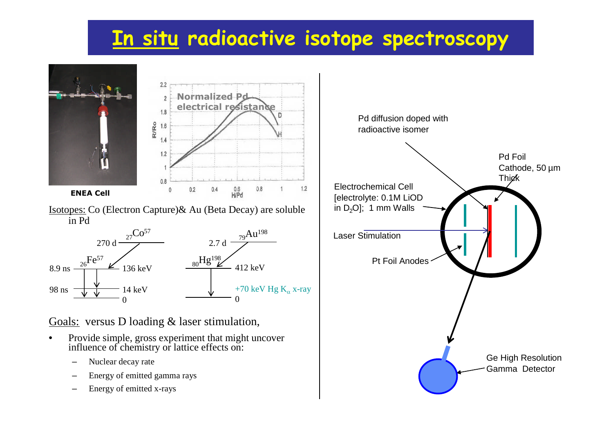# **In situ radioactive isotope spectroscopy**





Isotopes: Co (Electron Capture)& Au (Beta Decay) are soluble in Pd



Goals: versus D loading & laser stimulation,

- Provide simple, gross experiment that might uncover influence of chemistry or lattice effects on:
	- Nuclear decay rate
	- Energy of emitted gamma rays
	- Energy of emitted x-rays

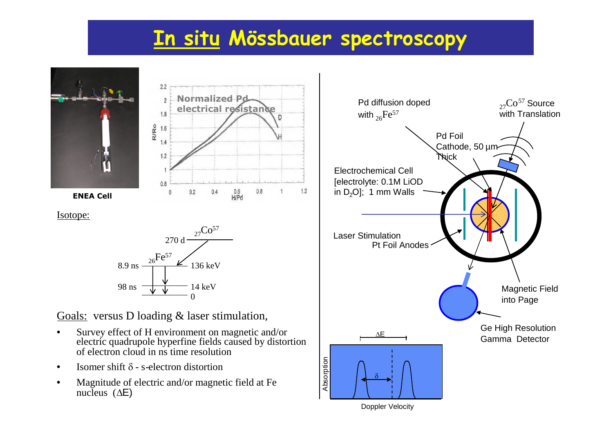# **In situ Mössbauer spectroscopy**



 $2.2$ **Normalized Pd**  $\mathfrak{D}$ **electrical resistance**  $18$ R/Ro 1.6  $1.2$  $0.8$  $\frac{0.6}{H/Pd}$  $1.2$  $0.4$  $0.8$  $0.2$  $\Omega$ 

Isotope:



Goals: versus D loading & laser stimulation,

- Survey effect of H environment on magnetic and/or electric quadrupole hyperfine fields caused by distortion of electron cloud in ns time resolution
- Isomer shift  $\delta$  s-electron distortion
- Magnitude of electric and/or magnetic field at Fe nucleus  $(\Delta E)$



Doppler Velocity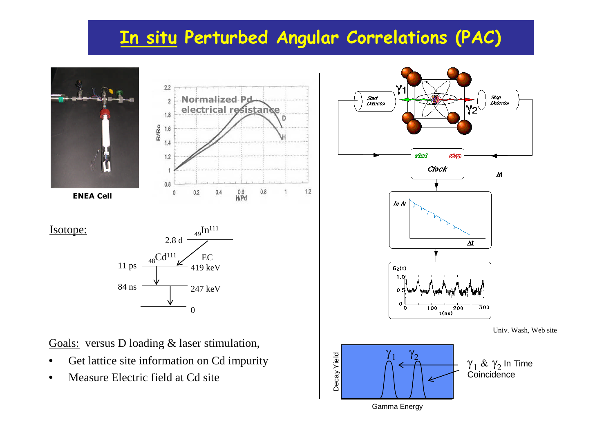# **In situ Perturbed Angular Correlations (PAC)**

 $1.2$ 

 $\overline{D}$ 

 $0.8$ 



**ENEA Cell**

Isotope:



 $2.2$ 

Goals: versus D loading & laser stimulation,

- Get lattice site information on Cd impurity
- Measure Electric field at Cd site



Gamma Energy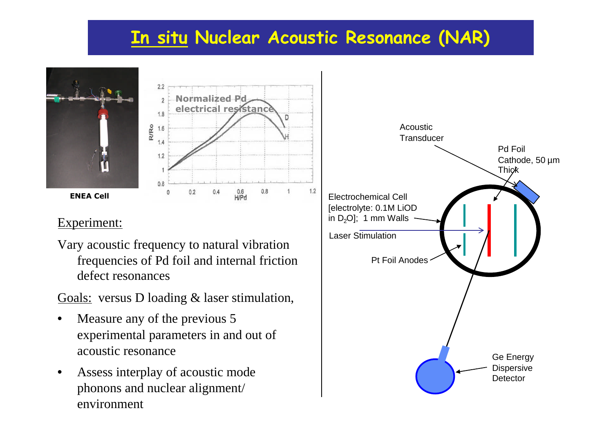# **In situ Nuclear Acoustic Resonance (NAR)**





#### Experiment:

Vary acoustic frequency to natural vibration frequencies of Pd foil and internal friction defect resonances

Goals: versus D loading & laser stimulation,

- Measure any of the previous 5 experimental parameters in and out of acoustic resonance
- Assess interplay of acoustic mode phonons and nuclear alignment/ environment

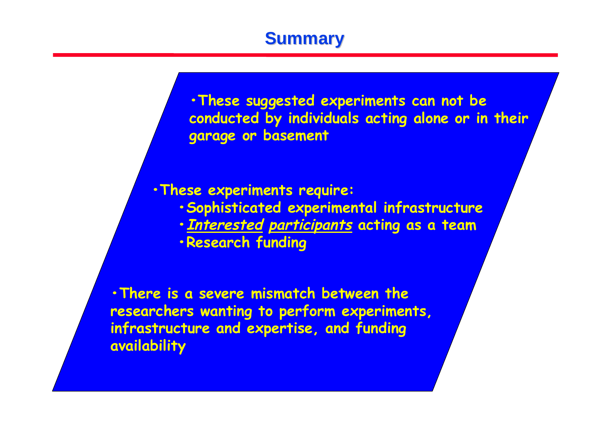## **Summary**

**•These suggested experiments can not be conducted by individuals acting alone or in their garage or basement**

**•These experiments require:**

- **•Sophisticated experimental infrastructure**
- **•Interested participants acting as a team**
- **•Research funding**

**•There is a severe mismatch between the researchers wanting to perform experiments, infrastructure and expertise, and funding availability**